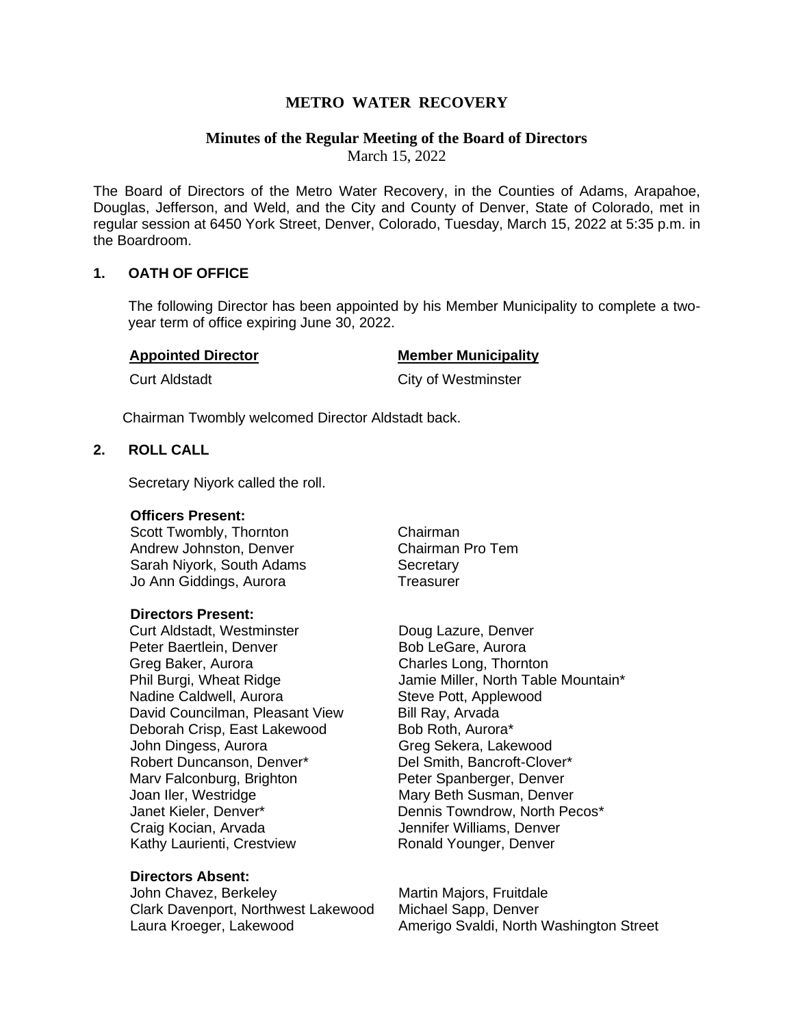# **METRO WATER RECOVERY**

# **Minutes of the Regular Meeting of the Board of Directors**

March 15, 2022

The Board of Directors of the Metro Water Recovery, in the Counties of Adams, Arapahoe, Douglas, Jefferson, and Weld, and the City and County of Denver, State of Colorado, met in regular session at 6450 York Street, Denver, Colorado, Tuesday, March 15, 2022 at 5:35 p.m. in the Boardroom.

## **1. OATH OF OFFICE**

The following Director has been appointed by his Member Municipality to complete a twoyear term of office expiring June 30, 2022.

#### **Appointed Director Member Municipality**

**Curt Aldstadt Curt Aldstadt** Curt Aldstadt Curt Aldstadt Curt Aldstadt Curt Aldstadt Curt Aldstadt Curt Aldstadt Curt Aldstadt Curt Aldstadt Curt Aldstadt Curt Aldstadt Curt Aldstadt Curt Aldstadt Curt Aldstadt Curt Aldst

Chairman Twombly welcomed Director Aldstadt back.

# **2. ROLL CALL**

Secretary Niyork called the roll.

#### **Officers Present:**

Scott Twombly, Thornton Chairman Andrew Johnston, Denver Chairman Pro Tem Sarah Nivork, South Adams Secretary Jo Ann Giddings, Aurora Treasurer

#### **Directors Present:**

Curt Aldstadt, Westminster **Doug Lazure, Denver** Peter Baertlein, Denver Bob LeGare, Aurora Greg Baker, Aurora Charles Long, Thornton Nadine Caldwell, Aurora Steve Pott, Applewood David Councilman, Pleasant View Bill Ray, Arvada Deborah Crisp, East Lakewood Bob Roth, Aurora\* John Dingess, Aurora Greg Sekera, Lakewood Robert Duncanson, Denver\* Del Smith, Bancroft-Clover\* Mary Falconburg, Brighton **Peter Spanberger, Denver** Joan Iler, Westridge Mary Beth Susman, Denver Janet Kieler, Denver\* Dennis Towndrow, North Pecos\* Craig Kocian, Arvada **Jennifer Williams, Denver** Kathy Laurienti, Crestview **Ronald Younger, Denver** 

## **Directors Absent:**

John Chavez, Berkeley Martin Majors, Fruitdale Clark Davenport, Northwest Lakewood Michael Sapp, Denver

Phil Burgi, Wheat Ridge **Jamie Miller, North Table Mountain**\*

Laura Kroeger, Lakewood **Amerigo Svaldi, North Washington Street**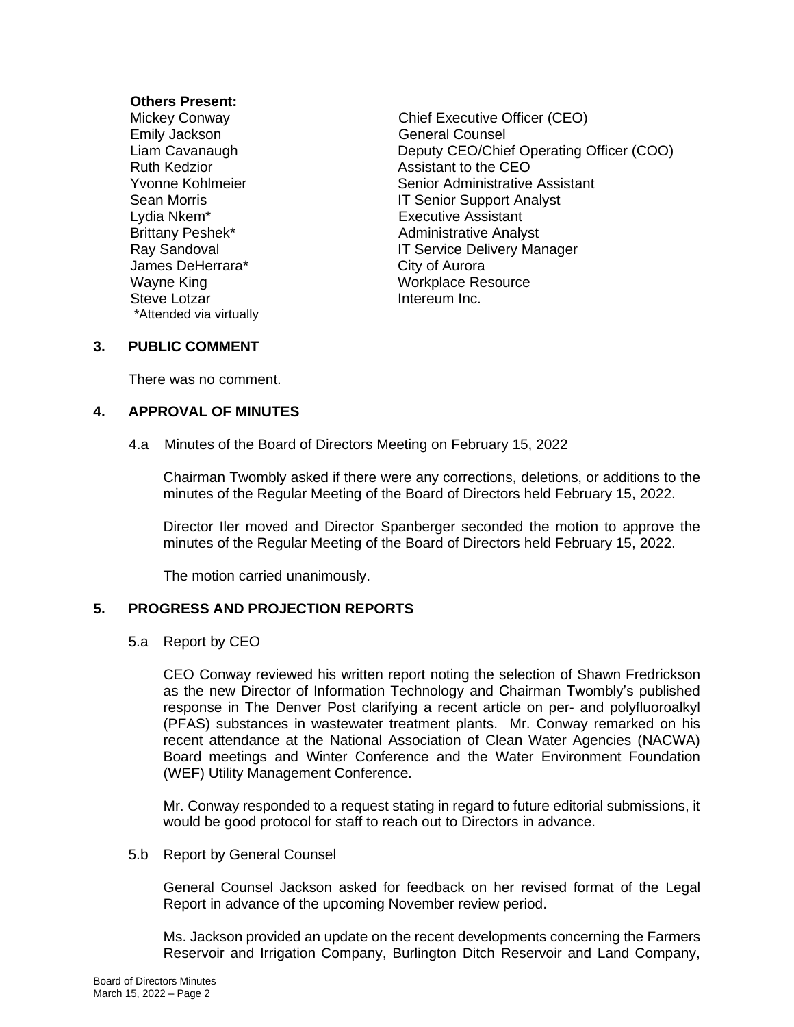## **Others Present:**

Emily Jackson General Counsel Lydia Nkem\* Executive Assistant James DeHerrara\* City of Aurora<br>
Wayne King Communication City of Aurora Steve Lotzar **Intereum Inc.** \*Attended via virtually

Mickey Conway Chief Executive Officer (CEO) Liam Cavanaugh Deputy CEO/Chief Operating Officer (COO) Ruth Kedzior **Assistant to the CEO** Yvonne Kohlmeier Senior Administrative Assistant Sean Morris **IT Senior Support Analyst** Brittany Peshek\* Administrative Analyst Ray Sandoval **IT Service Delivery Manager** Workplace Resource

# **3. PUBLIC COMMENT**

There was no comment.

## **4. APPROVAL OF MINUTES**

4.a Minutes of the Board of Directors Meeting on February 15, 2022

Chairman Twombly asked if there were any corrections, deletions, or additions to the minutes of the Regular Meeting of the Board of Directors held February 15, 2022.

Director Iler moved and Director Spanberger seconded the motion to approve the minutes of the Regular Meeting of the Board of Directors held February 15, 2022.

The motion carried unanimously.

# **5. PROGRESS AND PROJECTION REPORTS**

5.a Report by CEO

CEO Conway reviewed his written report noting the selection of Shawn Fredrickson as the new Director of Information Technology and Chairman Twombly's published response in The Denver Post clarifying a recent article on per- and polyfluoroalkyl (PFAS) substances in wastewater treatment plants. Mr. Conway remarked on his recent attendance at the National Association of Clean Water Agencies (NACWA) Board meetings and Winter Conference and the Water Environment Foundation (WEF) Utility Management Conference.

Mr. Conway responded to a request stating in regard to future editorial submissions, it would be good protocol for staff to reach out to Directors in advance.

## 5.b Report by General Counsel

General Counsel Jackson asked for feedback on her revised format of the Legal Report in advance of the upcoming November review period.

Ms. Jackson provided an update on the recent developments concerning the Farmers Reservoir and Irrigation Company, Burlington Ditch Reservoir and Land Company,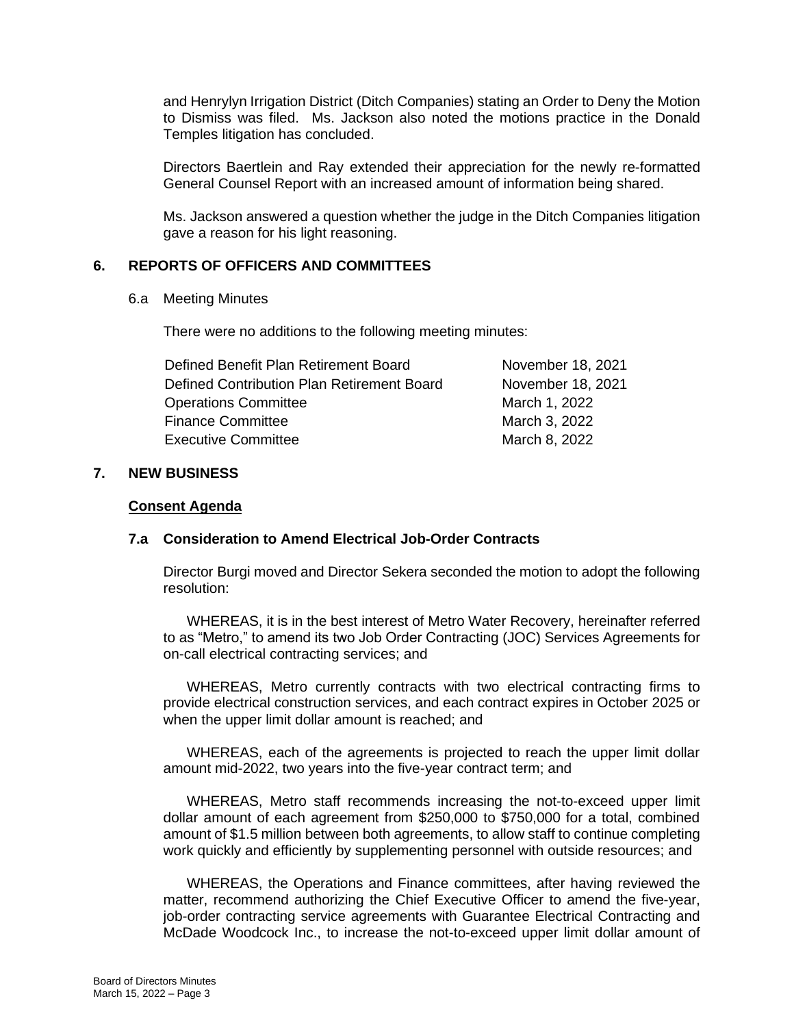and Henrylyn Irrigation District (Ditch Companies) stating an Order to Deny the Motion to Dismiss was filed. Ms. Jackson also noted the motions practice in the Donald Temples litigation has concluded.

Directors Baertlein and Ray extended their appreciation for the newly re-formatted General Counsel Report with an increased amount of information being shared.

Ms. Jackson answered a question whether the judge in the Ditch Companies litigation gave a reason for his light reasoning.

## **6. REPORTS OF OFFICERS AND COMMITTEES**

#### 6.a Meeting Minutes

There were no additions to the following meeting minutes:

| Defined Benefit Plan Retirement Board      | November 18, 2021 |
|--------------------------------------------|-------------------|
| Defined Contribution Plan Retirement Board | November 18, 2021 |
| <b>Operations Committee</b>                | March 1, 2022     |
| <b>Finance Committee</b>                   | March 3, 2022     |
| <b>Executive Committee</b>                 | March 8, 2022     |

## **7. NEW BUSINESS**

#### **Consent Agenda**

## **7.a Consideration to Amend Electrical Job-Order Contracts**

Director Burgi moved and Director Sekera seconded the motion to adopt the following resolution:

WHEREAS, it is in the best interest of Metro Water Recovery, hereinafter referred to as "Metro," to amend its two Job Order Contracting (JOC) Services Agreements for on-call electrical contracting services; and

WHEREAS, Metro currently contracts with two electrical contracting firms to provide electrical construction services, and each contract expires in October 2025 or when the upper limit dollar amount is reached; and

WHEREAS, each of the agreements is projected to reach the upper limit dollar amount mid-2022, two years into the five-year contract term; and

WHEREAS, Metro staff recommends increasing the not-to-exceed upper limit dollar amount of each agreement from \$250,000 to \$750,000 for a total, combined amount of \$1.5 million between both agreements, to allow staff to continue completing work quickly and efficiently by supplementing personnel with outside resources; and

WHEREAS, the Operations and Finance committees, after having reviewed the matter, recommend authorizing the Chief Executive Officer to amend the five-year, job-order contracting service agreements with Guarantee Electrical Contracting and McDade Woodcock Inc., to increase the not-to-exceed upper limit dollar amount of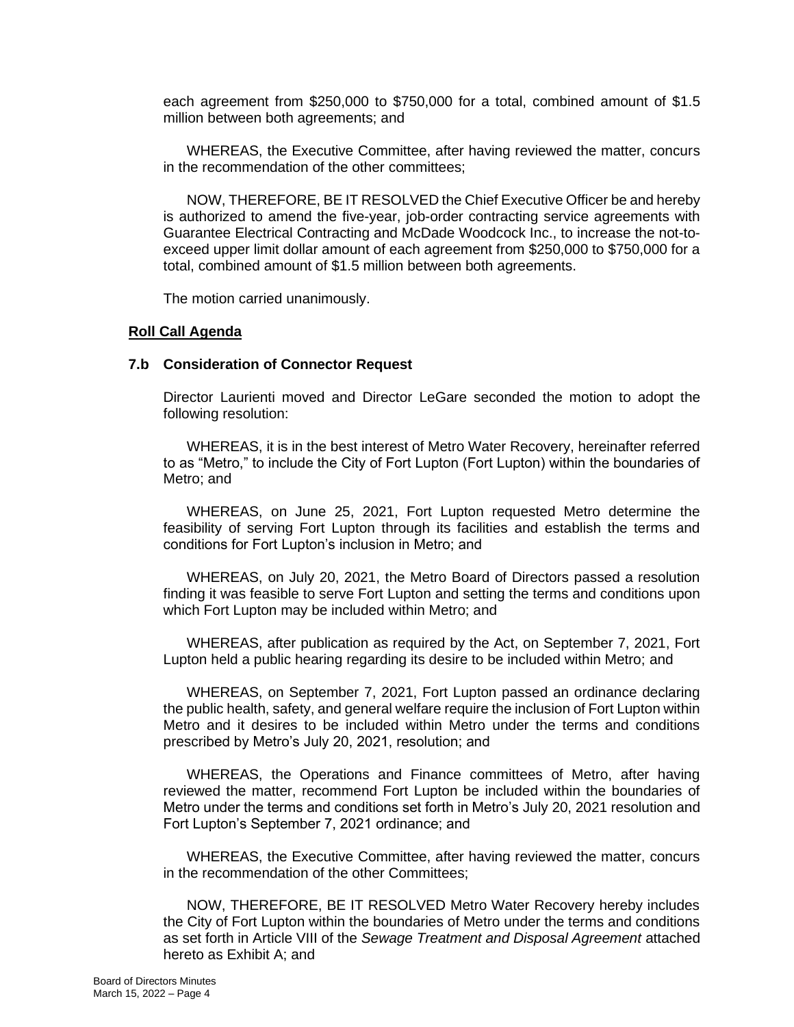each agreement from \$250,000 to \$750,000 for a total, combined amount of \$1.5 million between both agreements; and

WHEREAS, the Executive Committee, after having reviewed the matter, concurs in the recommendation of the other committees;

NOW, THEREFORE, BE IT RESOLVED the Chief Executive Officer be and hereby is authorized to amend the five-year, job-order contracting service agreements with Guarantee Electrical Contracting and McDade Woodcock Inc., to increase the not-toexceed upper limit dollar amount of each agreement from \$250,000 to \$750,000 for a total, combined amount of \$1.5 million between both agreements.

The motion carried unanimously.

#### **Roll Call Agenda**

#### **7.b Consideration of Connector Request**

Director Laurienti moved and Director LeGare seconded the motion to adopt the following resolution:

WHEREAS, it is in the best interest of Metro Water Recovery, hereinafter referred to as "Metro," to include the City of Fort Lupton (Fort Lupton) within the boundaries of Metro; and

WHEREAS, on June 25, 2021, Fort Lupton requested Metro determine the feasibility of serving Fort Lupton through its facilities and establish the terms and conditions for Fort Lupton's inclusion in Metro; and

WHEREAS, on July 20, 2021, the Metro Board of Directors passed a resolution finding it was feasible to serve Fort Lupton and setting the terms and conditions upon which Fort Lupton may be included within Metro; and

WHEREAS, after publication as required by the Act, on September 7, 2021, Fort Lupton held a public hearing regarding its desire to be included within Metro; and

WHEREAS, on September 7, 2021, Fort Lupton passed an ordinance declaring the public health, safety, and general welfare require the inclusion of Fort Lupton within Metro and it desires to be included within Metro under the terms and conditions prescribed by Metro's July 20, 2021, resolution; and

WHEREAS, the Operations and Finance committees of Metro, after having reviewed the matter, recommend Fort Lupton be included within the boundaries of Metro under the terms and conditions set forth in Metro's July 20, 2021 resolution and Fort Lupton's September 7, 2021 ordinance; and

WHEREAS, the Executive Committee, after having reviewed the matter, concurs in the recommendation of the other Committees;

NOW, THEREFORE, BE IT RESOLVED Metro Water Recovery hereby includes the City of Fort Lupton within the boundaries of Metro under the terms and conditions as set forth in Article VIII of the *Sewage Treatment and Disposal Agreement* attached hereto as Exhibit A; and